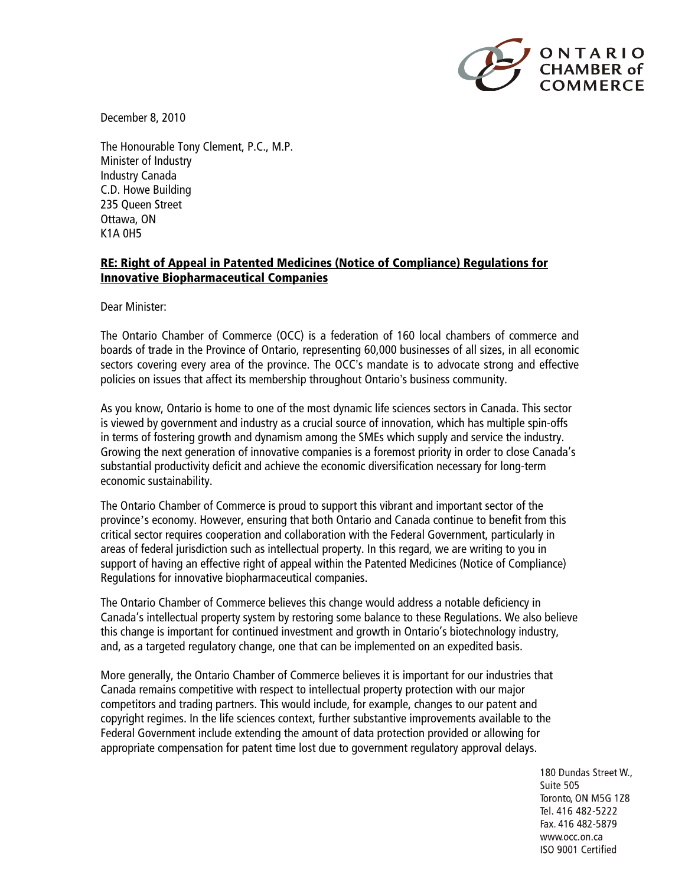

December 8, 2010

The Honourable Tony Clement, P.C., M.P. Minister of Industry Industry Canada C.D. Howe Building 235 Queen Street Ottawa, ON K1A 0H5

## **RE: Right of Appeal in Patented Medicines (Notice of Compliance) Regulations for Innovative Biopharmaceutical Companies**

Dear Minister:

The Ontario Chamber of Commerce (OCC) is a federation of 160 local chambers of commerce and boards of trade in the Province of Ontario, representing 60,000 businesses of all sizes, in all economic sectors covering every area of the province. The OCC's mandate is to advocate strong and effective policies on issues that affect its membership throughout Ontario's business community.

As you know, Ontario is home to one of the most dynamic life sciences sectors in Canada. This sector is viewed by government and industry as a crucial source of innovation, which has multiple spin-offs in terms of fostering growth and dynamism among the SMEs which supply and service the industry. Growing the next generation of innovative companies is a foremost priority in order to close Canada's substantial productivity deficit and achieve the economic diversification necessary for long-term economic sustainability.

The Ontario Chamber of Commerce is proud to support this vibrant and important sector of the province's economy. However, ensuring that both Ontario and Canada continue to benefit from this critical sector requires cooperation and collaboration with the Federal Government, particularly in areas of federal jurisdiction such as intellectual property. In this regard, we are writing to you in support of having an effective right of appeal within the Patented Medicines (Notice of Compliance) Regulations for innovative biopharmaceutical companies.

The Ontario Chamber of Commerce believes this change would address a notable deficiency in Canada's intellectual property system by restoring some balance to these Regulations. We also believe this change is important for continued investment and growth in Ontario's biotechnology industry, and, as a targeted regulatory change, one that can be implemented on an expedited basis.

More generally, the Ontario Chamber of Commerce believes it is important for our industries that Canada remains competitive with respect to intellectual property protection with our major competitors and trading partners. This would include, for example, changes to our patent and copyright regimes. In the life sciences context, further substantive improvements available to the Federal Government include extending the amount of data protection provided or allowing for appropriate compensation for patent time lost due to government regulatory approval delays.

> 180 Dundas Street W., Suite 505 Toronto, ON M5G 1Z8 Tel. 416 482-5222 Fax. 416 482-5879 www.occ.on.ca ISO 9001 Certified